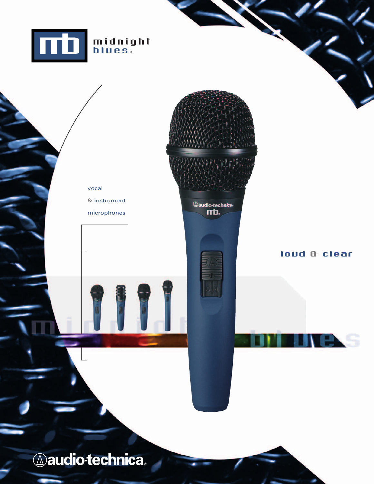



mb.

& instrument microphones

vocal

loud & clear

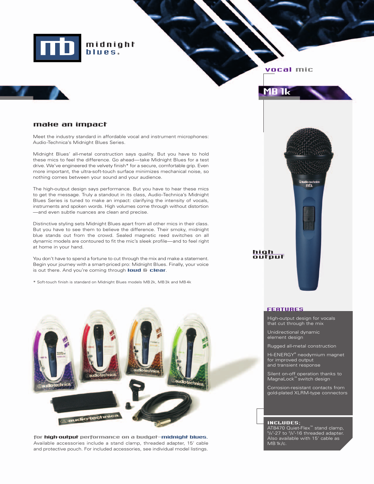

### vocal mic

**MB 1k** 

### make an impact

Meet the industry standard in affordable vocal and instrument microphones: Audio-Technica's Midnight Blues Series.

Midnight Blues' all-metal construction says quality. But you have to hold these mics to feel the difference. Go ahead—take Midnight Blues for a test drive. We've engineered the velvety finish\* for a secure, comfortable grip. Even more important, the ultra-soft-touch surface minimizes mechanical noise, so nothing comes between your sound and your audience.

The high-output design says performance. But you have to hear these mics to get the message. Truly a standout in its class, Audio-Technica's Midnight Blues Series is tuned to make an impact: clarifying the intensity of vocals, instruments and spoken words. High volumes come through without distortion —and even subtle nuances are clean and precise.

Distinctive styling sets Midnight Blues apart from all other mics in their class. But you have to see them to believe the difference. Their smoky, midnight blue stands out from the crowd. Sealed magnetic reed switches on all dynamic models are contoured to fit the mic's sleek profile—and to feel right at home in your hand.

You don't have to spend a fortune to cut through the mix and make a statement. Begin your journey with a smart-priced pro: Midnight Blues. Finally, your voice<br>Begin your journey with a smart-priced pro: Midnight Blues. Finally, your voice<br>is out there. And you're coming through loud & clear.

\* Soft-touch finish is standard on Midnight Blues models MB 2k, MB 3k and MB 4k



for high-output performance on a budget-midnight blues. Available accessories include a stand clamp, threaded adapter, 15' cable and protective pouch. For included accessories, see individual model listings.



### **FEATURES**

High-output design for vocals that cut through the mix

Unidirectional dynamic element design

Rugged all-metal construction

Hi-ENERGY® neodymium magnet for improved output and transient response

Silent on-off operation thanks to MagnaLock™ switch design

Corrosion-resistant contacts from gold-plated XLRM-type connectors

### INCLUDES;

AT8470 Quiet-Flex™ stand clamp, 5 /s"-27 to <sup>3</sup>/s"-16 threaded adapter. Also available with 15' cable as MB1k/c.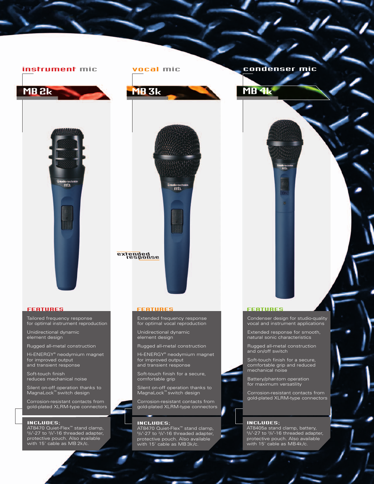





Tailored frequency response for optimal instrument reproduction

Unidirectional dynamic element design

Rugged all-metal construction

Hi-ENERGY® neodymium magnet for improved output and transient response

Soft-touch finish reduces mechanical noise

Silent on-off operation thanks to MagnaLock™ switch design

Corrosion-resistant contacts from gold-plated XLRM-type connectors

### INCLUDES;

AT8470 Quiet-Flex™ stand clamp,<br><sup>5</sup>/s"-27 to <sup>3</sup>/s"-16 threaded adapter, protective pouch. Also available with 15' cable as MB 2k/c.

Extended frequency response for optimal vocal reproduction

Unidirectional dynamic element design

Rugged all-metal construction

Hi-ENERGY® neodymium magnet for improved output and transient response

Soft-touch finish for a secure, comfortable grip

Silent on-off operation thanks to MagnaLock™ switch design

Corrosion-resistant contacts from gold-plated XLRM-type connectors

### INCLUDES;

AT8470 Quiet-Flex™ stand clamp,<br><sup>5</sup>/8"-27 to <sup>3</sup>/8"-16 threaded adapter, protective pouch. Also available with 15' cable as MB 3k/c.

# instrument mic vocal mic condenser mic

net est.<br>Titul



## FEATURES FEATURES FEATURES

Condenser design for studio-quality vocal and instrument applications

Extended response for smooth, natural sonic characteristics

Rugged all-metal construction and on/off switch

Soft-touch finish for a secure, comfortable grip and reduced mechanical noise

Battery/phantom operation for maximum versatility

Corrosion-resistant contacts from gold-plated XLRM-type connectors

### INCLUDES;

AT8405a stand clamp, battery,  $5\frac{1}{8}$ -27 to  $3\frac{1}{8}$ -16 threaded adapter, protective pouch. Also available with 15' cable as MB4k/c.